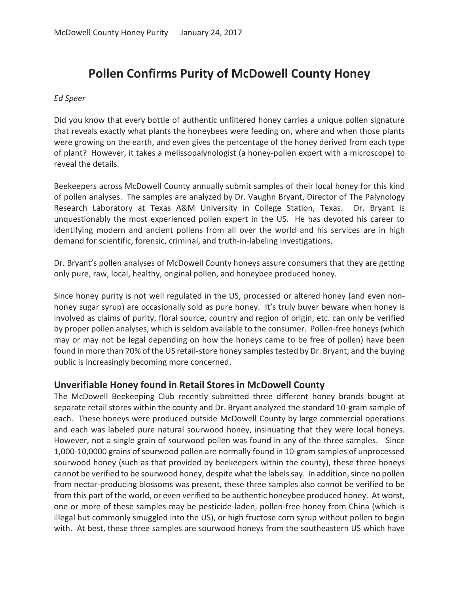# **Pollen Confirms Purity of McDowell County Honey**

#### *Ed Speer*

Did you know that every bottle of authentic unfiltered honey carries a unique pollen signature that reveals exactly what plants the honeybees were feeding on, where and when those plants were growing on the earth, and even gives the percentage of the honey derived from each type of plant? However, it takes a melissopalynologist (a honey-pollen expert with a microscope) to reveal the details.

Beekeepers across McDowell County annually submit samples of their local honey for this kind of pollen analyses. The samples are analyzed by Dr. Vaughn Bryant, Director of The Palynology Research Laboratory at Texas A&M University in College Station, Texas. Dr. Bryant is unquestionably the most experienced pollen expert in the US. He has devoted his career to identifying modern and ancient pollens from all over the world and his services are in high demand for scientific, forensic, criminal, and truth-in-labeling investigations.

Dr. Bryant's pollen analyses of McDowell County honeys assure consumers that they are getting only pure, raw, local, healthy, original pollen, and honeybee produced honey.

Since honey purity is not well regulated in the US, processed or altered honey (and even nonhoney sugar syrup) are occasionally sold as pure honey. It's truly buyer beware when honey is involved as claims of purity, floral source, country and region of origin, etc. can only be verified by proper pollen analyses, which is seldom available to the consumer. Pollen-free honeys (which may or may not be legal depending on how the honeys came to be free of pollen) have been found in more than 70% of the US retail-store honey samples tested by Dr. Bryant; and the buying public is increasingly becoming more concerned.

### **Unverifiable Honey found in Retail Stores in McDowell County**

The McDowell Beekeeping Club recently submitted three different honey brands bought at separate retail stores within the county and Dr. Bryant analyzed the standard 10-gram sample of each. These honeys were produced outside McDowell County by large commercial operations and each was labeled pure natural sourwood honey, insinuating that they were local honeys. However, not a single grain of sourwood pollen was found in any of the three samples. Since 1,000-10,0000 grains of sourwood pollen are normally found in 10-gram samples of unprocessed sourwood honey (such as that provided by beekeepers within the county), these three honeys cannot be verified to be sourwood honey, despite what the labelssay. In addition, since no pollen from nectar-producing blossoms was present, these three samples also cannot be verified to be from this part of the world, or even verified to be authentic honeybee produced honey. At worst, one or more of these samples may be pesticide-laden, pollen-free honey from China (which is illegal but commonly smuggled into the US), or high fructose corn syrup without pollen to begin with. At best, these three samples are sourwood honeys from the southeastern US which have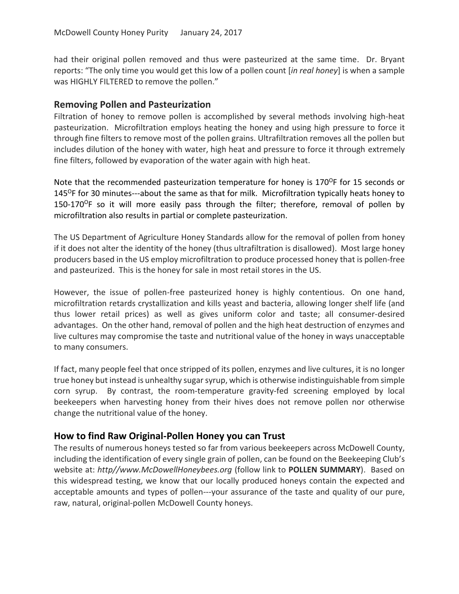had their original pollen removed and thus were pasteurized at the same time. Dr. Bryant reports: "The only time you would get this low of a pollen count [*in real honey*] is when a sample was HIGHLY FILTERED to remove the pollen."

### **Removing Pollen and Pasteurization**

Filtration of honey to remove pollen is accomplished by several methods involving high-heat pasteurization. Microfiltration employs heating the honey and using high pressure to force it through fine filters to remove most of the pollen grains. Ultrafiltration removes all the pollen but includes dilution of the honey with water, high heat and pressure to force it through extremely fine filters, followed by evaporation of the water again with high heat.

Note that the recommended pasteurization temperature for honey is 170 $^{\circ}$ F for 15 seconds or  $145^{\circ}$ F for 30 minutes---about the same as that for milk. Microfiltration typically heats honey to 150-170 $\textdegree$ F so it will more easily pass through the filter; therefore, removal of pollen by microfiltration also results in partial or complete pasteurization.

The US Department of Agriculture Honey Standards allow for the removal of pollen from honey if it does not alter the identity of the honey (thus ultrafiltration is disallowed). Most large honey producers based in the US employ microfiltration to produce processed honey that is pollen-free and pasteurized. This is the honey for sale in most retail stores in the US.

However, the issue of pollen-free pasteurized honey is highly contentious. On one hand, microfiltration retards crystallization and kills yeast and bacteria, allowing longer shelf life (and thus lower retail prices) as well as gives uniform color and taste; all consumer-desired advantages. On the other hand, removal of pollen and the high heat destruction of enzymes and live cultures may compromise the taste and nutritional value of the honey in ways unacceptable to many consumers.

If fact, many people feel that once stripped of its pollen, enzymes and live cultures, it is no longer true honey but instead is unhealthy sugar syrup, which is otherwise indistinguishable from simple corn syrup. By contrast, the room-temperature gravity-fed screening employed by local beekeepers when harvesting honey from their hives does not remove pollen nor otherwise change the nutritional value of the honey.

## **How to find Raw Original-Pollen Honey you can Trust**

The results of numerous honeys tested so far from various beekeepers across McDowell County, including the identification of every single grain of pollen, can be found on the Beekeeping Club's website at: *http//www.McDowellHoneybees.org* (follow link to **POLLEN SUMMARY**). Based on this widespread testing, we know that our locally produced honeys contain the expected and acceptable amounts and types of pollen---your assurance of the taste and quality of our pure, raw, natural, original-pollen McDowell County honeys.